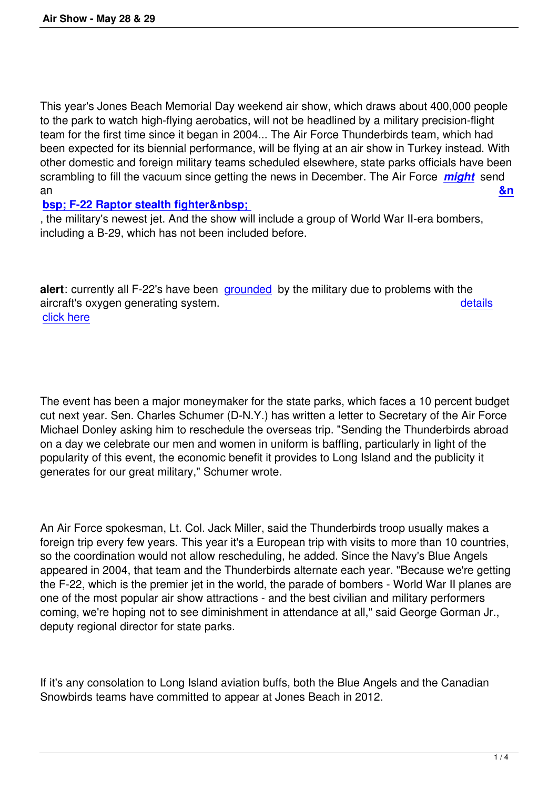This year's Jones Beach Memorial Day weekend air show, which draws about 400,000 people to the park to watch high-flying aerobatics, will not be headlined by a military precision-flight team for the first time since it began in 2004... The Air Force Thunderbirds team, which had been expected for its biennial performance, will be flying at an air show in Turkey instead. With other domestic and foreign military teams scheduled elsewhere, state parks officials have been scrambling to fill the vacuum since getting the news in December. The Air Force *might* send an **&n**

## **bsp; F-22 Raptor stealth fighter & nbsp;**

, the military's newest jet. And the show will include a group of World War II-era b[omber](http://www.wavy.com/dpp/military/f-22-raptors-grounded)s, including a B-29, which has not been included before.

**alert**: currently all F-22's have been grounded by the military due to problems with the aircraft's oxygen generating system. details click here

The event has been a major moneymaker for the state parks, which faces a 10 percent budget cut next year. Sen. Charles Schumer (D-N.Y.) has written a letter to Secretary of the Air Force Michael Donley asking him to reschedule the overseas trip. "Sending the Thunderbirds abroad on a day we celebrate our men and women in uniform is baffling, particularly in light of the popularity of this event, the economic benefit it provides to Long Island and the publicity it generates for our great military," Schumer wrote.

An Air Force spokesman, Lt. Col. Jack Miller, said the Thunderbirds troop usually makes a foreign trip every few years. This year it's a European trip with visits to more than 10 countries, so the coordination would not allow rescheduling, he added. Since the Navy's Blue Angels appeared in 2004, that team and the Thunderbirds alternate each year. "Because we're getting the F-22, which is the premier jet in the world, the parade of bombers - World War II planes are one of the most popular air show attractions - and the best civilian and military performers coming, we're hoping not to see diminishment in attendance at all," said George Gorman Jr., deputy regional director for state parks.

If it's any consolation to Long Island aviation buffs, both the Blue Angels and the Canadian Snowbirds teams have committed to appear at Jones Beach in 2012.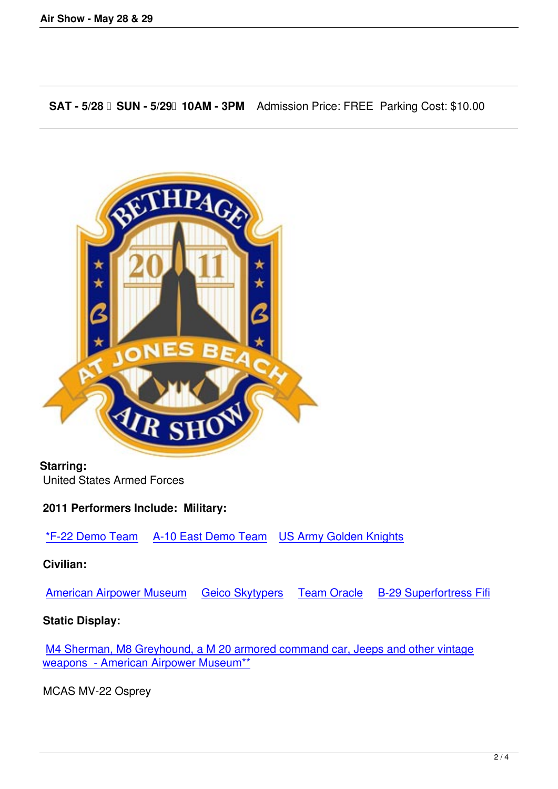**SAT - 5/28 SUN - 5/29 10AM - 3PM** Admission Price: FREE Parking Cost: \$10.00



# **Starring:**

United States Armed Forces

#### **2011 Performers Include: Military:**

\*F-22 Demo Team A-10 East Demo Team US Army Golden Knights

#### **Civilian:**

[American Airpower](http://www.acc.af.mil/aerialevents/demoteamschedule.asp) Museum  [Geico Skytyp](http://www.acc.af.mil/aerialevents/a10east/index.asp)ers  [Team Oracle](http://www.usarec.army.mil/hq/goldenknights/) B-29 Superfortress Fifi

## **Static Display:**

[M4 Sherman, M8 Greyhound](http://www.americanairpowermuseum.com/Website/Index.aspx), [a M 20 armored c](http://geicoskytypers.com/)o[mmand car, Je](http://www.teamoracle.com/)e[ps and other vintage](http://www.cafb29b24.org/a/B-29.htm) weapons - American Airpower Museum\*\*

[MCAS MV-22 Osprey](http://www.americanairpowermuseum.com/Website/Index.aspx)